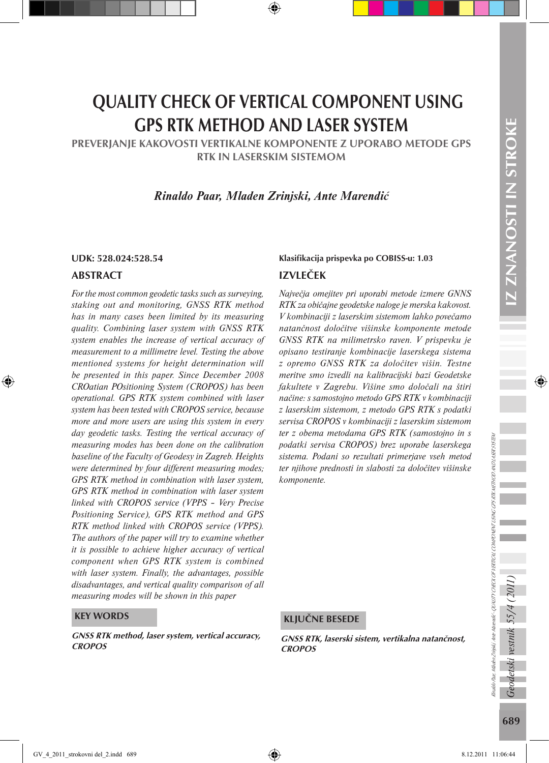# QUALITY CHECK OF VERTICAL COMPONENT USING GPS RTK METHOD AND LASER SYSTEM

PREVERJANJE KAKOVOSTI VERTIKALNE KOMPONENTE Z UPORABO METODE GPS RTK IN LASERSKIM SISTEMOM

*Rinaldo Paar, Mladen Zrinjski, Ante Marendić*

### ABSTRACT

*For the most common geodetic tasks such as surveying, staking out and monitoring, GNSS RTK method has in many cases been limited by its measuring quality. Combining laser system with GNSS RTK system enables the increase of vertical accuracy of measurement to a millimetre level. Testing the above mentioned systems for height determination will be presented in this paper. Since December 2008 CROatian POsitioning System (CROPOS) has been operational. GPS RTK system combined with laser system has been tested with CROPOS service, because more and more users are using this system in every day geodetic tasks. Testing the vertical accuracy of measuring modes has been done on the calibration baseline of the Faculty of Geodesy in Zagreb. Heights were determined by four different measuring modes; GPS RTK method in combination with laser system, GPS RTK method in combination with laser system linked with CROPOS service (VPPS – Very Precise Positioning Service), GPS RTK method and GPS RTK method linked with CROPOS service (VPPS). The authors of the paper will try to examine whether it is possible to achieve higher accuracy of vertical component when GPS RTK system is combined with laser system. Finally, the advantages, possible disadvantages, and vertical quality comparison of all measuring modes will be shown in this paper*

#### KEY WORDS

GNSS RTK method, laser system, vertical accuracy, CROPOS GNSS RTK, laserski sistem, vertikalna natančnost,

### IZVLEČEK UDK: 528.024:528.54 Klasifikacija prispevka po COBISS-u: 1.03

*Največja omejitev pri uporabi metode izmere GNNS RTK za običajne geodetske naloge je merska kakovost. V kombinaciji z laserskim sistemom lahko povečamo natančnost določitve višinske komponente metode GNSS RTK na milimetrsko raven. V prispevku je opisano testiranje kombinacije laserskega sistema z opremo GNSS RTK za določitev višin. Testne meritve smo izvedli na kalibracijski bazi Geodetske fakultete v Zagrebu. Višine smo določali na štiri načine: s samostojno metodo GPS RTK v kombinaciji z laserskim sistemom, z metodo GPS RTK s podatki servisa CROPOS v kombinaciji z laserskim sistemom ter z obema metodama GPS RTK (samostojno in s podatki servisa CROPOS) brez uporabe laserskega sistema. Podani so rezultati primerjave vseh metod ter njihove prednosti in slabosti za določitev višinske komponente.*

### KLJUČNE BESEDE

**CROPOS**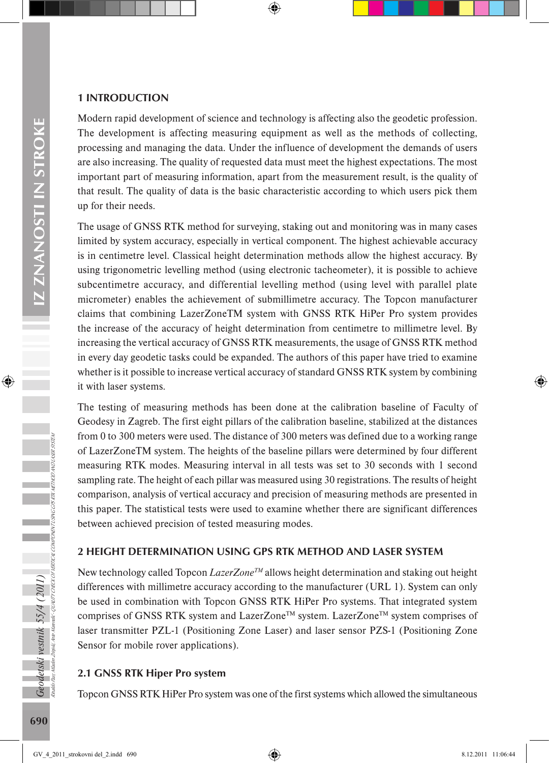### 1 INTRODUCTION

Modern rapid development of science and technology is affecting also the geodetic profession. The development is affecting measuring equipment as well as the methods of collecting, processing and managing the data. Under the influence of development the demands of users are also increasing. The quality of requested data must meet the highest expectations. The most important part of measuring information, apart from the measurement result, is the quality of that result. The quality of data is the basic characteristic according to which users pick them up for their needs.

The usage of GNSS RTK method for surveying, staking out and monitoring was in many cases limited by system accuracy, especially in vertical component. The highest achievable accuracy is in centimetre level. Classical height determination methods allow the highest accuracy. By using trigonometric levelling method (using electronic tacheometer), it is possible to achieve subcentimetre accuracy, and differential levelling method (using level with parallel plate micrometer) enables the achievement of submillimetre accuracy. The Topcon manufacturer claims that combining LazerZoneTM system with GNSS RTK HiPer Pro system provides the increase of the accuracy of height determination from centimetre to millimetre level. By increasing the vertical accuracy of GNSS RTK measurements, the usage of GNSS RTK method in every day geodetic tasks could be expanded. The authors of this paper have tried to examine whether is it possible to increase vertical accuracy of standard GNSS RTK system by combining it with laser systems.

The testing of measuring methods has been done at the calibration baseline of Faculty of Geodesy in Zagreb. The first eight pillars of the calibration baseline, stabilized at the distances from 0 to 300 meters were used. The distance of 300 meters was defined due to a working range of LazerZoneTM system. The heights of the baseline pillars were determined by four different measuring RTK modes. Measuring interval in all tests was set to 30 seconds with 1 second sampling rate. The height of each pillar was measured using 30 registrations. The results of height comparison, analysis of vertical accuracy and precision of measuring methods are presented in this paper. The statistical tests were used to examine whether there are significant differences between achieved precision of tested measuring modes.

### 2 HEIGHT DETERMINATION USING GPS RTK METHOD AND LASER SYSTEM

New technology called Topcon *LazerZone™* allows height determination and staking out height differences with millimetre accuracy according to the manufacturer (URL 1). System can only be used in combination with Topcon GNSS RTK HiPer Pro systems. That integrated system comprises of GNSS RTK system and LazerZone<sup>TM</sup> system. LazerZone<sup>TM</sup> system comprises of laser transmitter PZL-1 (Positioning Zone Laser) and laser sensor PZS-1 (Positioning Zone Sensor for mobile rover applications).

### 2.1 GNSS RTK Hiper Pro system

Topcon GNSS RTK HiPer Pro system was one of the first systems which allowed the simultaneous

Rinaldo Paar, Mladen Zrinjski, Ante Marendić - QUALITY CHECK OF VERTICAL COMPONENT USING GPS RTK METHOD AND LASER SYSTEM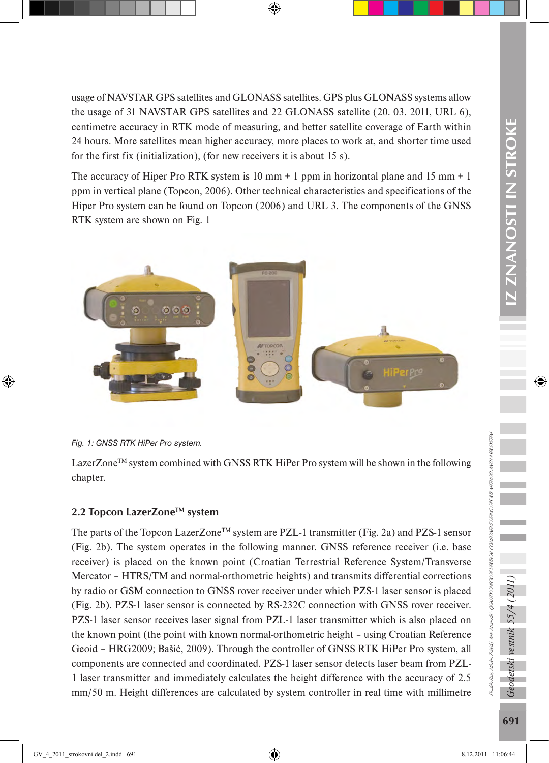IZ ZNANOSTI IN STROKE 691*Geodetski vestnik 55/4 (2011)* IZ ZNANOSTI IN STROKE

usage of NAVSTAR GPS satellites and GLONASS satellites. GPS plus GLONASS systems allow the usage of 31 NAVSTAR GPS satellites and 22 GLONASS satellite (20. 03. 2011, URL 6), centimetre accuracy in RTK mode of measuring, and better satellite coverage of Earth within 24 hours. More satellites mean higher accuracy, more places to work at, and shorter time used for the first fix (initialization), (for new receivers it is about 15 s).

The accuracy of Hiper Pro RTK system is 10 mm  $+$  1 ppm in horizontal plane and 15 mm  $+$  1 ppm in vertical plane (Topcon, 2006). Other technical characteristics and specifications of the Hiper Pro system can be found on Topcon (2006) and URL 3. The components of the GNSS RTK system are shown on Fig. 1





LazerZone<sup>TM</sup> system combined with GNSS RTK HiPer Pro system will be shown in the following chapter.

# 2.2 Topcon LazerZone™ system

The parts of the Topcon LazerZone<sup>TM</sup> system are PZL-1 transmitter (Fig. 2a) and PZS-1 sensor (Fig. 2b). The system operates in the following manner. GNSS reference receiver (i.e. base receiver) is placed on the known point (Croatian Terrestrial Reference System/Transverse Mercator – HTRS/TM and normal-orthometric heights) and transmits differential corrections by radio or GSM connection to GNSS rover receiver under which PZS-1 laser sensor is placed (Fig. 2b). PZS-1 laser sensor is connected by RS-232C connection with GNSS rover receiver. PZS-1 laser sensor receives laser signal from PZL-1 laser transmitter which is also placed on the known point (the point with known normal-orthometric height – using Croatian Reference Geoid – HRG2009; Bašić, 2009). Through the controller of GNSS RTK HiPer Pro system, all components are connected and coordinated. PZS-1 laser sensor detects laser beam from PZL-1 laser transmitter and immediately calculates the height difference with the accuracy of 2.5 mm/50 m. Height differences are calculated by system controller in real time with millimetre

Geodetski vestnik 55/4

Rinaldo Paar, Mladen Zrinjski, Ante Marendić - QUALITY CHECK OF VERTICAL COMPONENT USING GPS RTK METHOD AND LASER SYSTEM

Rinado Paar, Manden Zinjski, Ante Manendić-QUALITY CHECK OF VERTICAL COMPONENT USING GPS RTK METHOD AND LASER 9197EM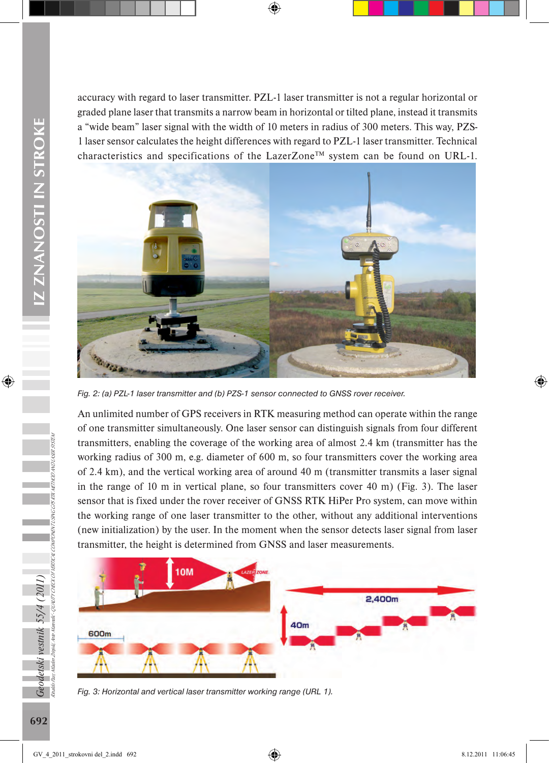accuracy with regard to laser transmitter. PZL-1 laser transmitter is not a regular horizontal or graded plane laser that transmits a narrow beam in horizontal or tilted plane, instead it transmits a "wide beam" laser signal with the width of 10 meters in radius of 300 meters. This way, PZS-1 laser sensor calculates the height differences with regard to PZL-1 laser transmitter. Technical characteristics and specifications of the LazerZone<sup>TM</sup> system can be found on URL-1.



*Fig. 2: (a) PZL-1 laser transmitter and (b) PZS-1 sensor connected to GNSS rover receiver.*

An unlimited number of GPS receivers in RTK measuring method can operate within the range of one transmitter simultaneously. One laser sensor can distinguish signals from four different transmitters, enabling the coverage of the working area of almost 2.4 km (transmitter has the working radius of 300 m, e.g. diameter of 600 m, so four transmitters cover the working area of 2.4 km), and the vertical working area of around 40 m (transmitter transmits a laser signal in the range of 10 m in vertical plane, so four transmitters cover 40 m) (Fig. 3). The laser sensor that is fixed under the rover receiver of GNSS RTK HiPer Pro system, can move within the working range of one laser transmitter to the other, without any additional interventions (new initialization) by the user. In the moment when the sensor detects laser signal from laser transmitter, the height is determined from GNSS and laser measurements.



*Fig. 3: Horizontal and vertical laser transmitter working range (URL 1).*

Geodetski vestnik 55/4 (2011)<br><sub>Raiko har MakerZenski me Mareni</sub>k ovumcregoor

Rinaldo Paar, Mladen Zrinjski, Ante Marendić - QUALITY CHECK OF VERTICAL COMPONENT USING GPS RTK METHOD AND LASER SYSTEM

Taijski Ante Marendić-QUALITY CHECK OF VERTICAL COMPONENT USING GPS RTK METHOD AND LASER 91STEM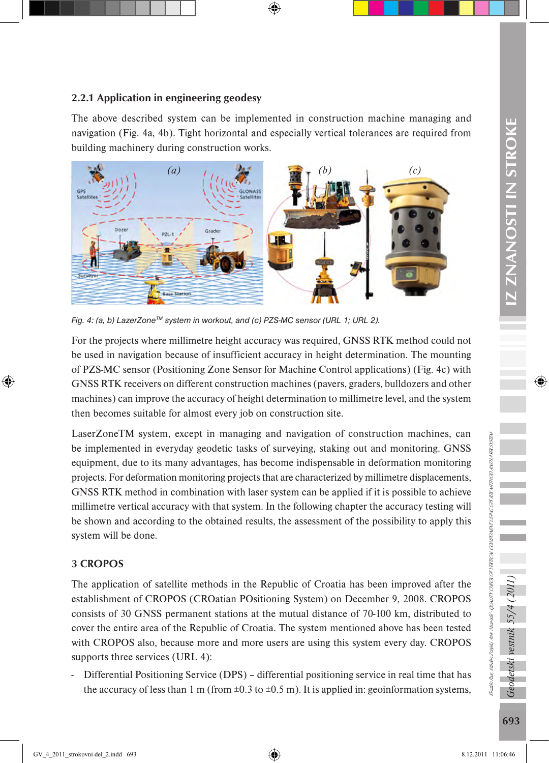# 2.2.1 Application in engineering geodesy

The above described system can be implemented in construction machine managing and navigation (Fig. 4a, 4b). Tight horizontal and especially vertical tolerances are required from building machinery during construction works.



*Fig. 4: (a, b) LazerZone™ system in workout, and (c) PZS-MC sensor (URL 1; URL 2).* 

For the projects where millimetre height accuracy was required, GNSS RTK method could not be used in navigation because of insufficient accuracy in height determination. The mounting of PZS-MC sensor (Positioning Zone Sensor for Machine Control applications) (Fig. 4c) with GNSS RTK receivers on different construction machines (pavers, graders, bulldozers and other machines) can improve the accuracy of height determination to millimetre level, and the system then becomes suitable for almost every job on construction site.

LaserZoneTM system, except in managing and navigation of construction machines, can be implemented in everyday geodetic tasks of surveying, staking out and monitoring. GNSS equipment, due to its many advantages, has become indispensable in deformation monitoring projects. For deformation monitoring projects that are characterized by millimetre displacements, GNSS RTK method in combination with laser system can be applied if it is possible to achieve millimetre vertical accuracy with that system. In the following chapter the accuracy testing will be shown and according to the obtained results, the assessment of the possibility to apply this system will be done.

# 3 CROPOS

The application of satellite methods in the Republic of Croatia has been improved after the establishment of CROPOS (CROatian POsitioning System) on December 9, 2008. CROPOS consists of 30 GNSS permanent stations at the mutual distance of 70-100 km, distributed to cover the entire area of the Republic of Croatia. The system mentioned above has been tested with CROPOS also, because more and more users are using this system every day. CROPOS supports three services (URL 4):

- Differential Positioning Service (DPS) – differential positioning service in real time that has the accuracy of less than 1 m (from  $\pm 0.3$  to  $\pm 0.5$  m). It is applied in: geoinformation systems, Rinaldo Paar, Mladen Zrinjski, Ante Marendić - QUALITY CHECK OF VERTICAL COMPONENT USING GPS RTK METHOD AND LASER SYSTEM

Ynaklo Paar, Maaden Zinijski, Ante Marenalić - QUALITY CHECK OF VERTICAL COMPONENT LORS R7K METHOD AND LASER 915TEM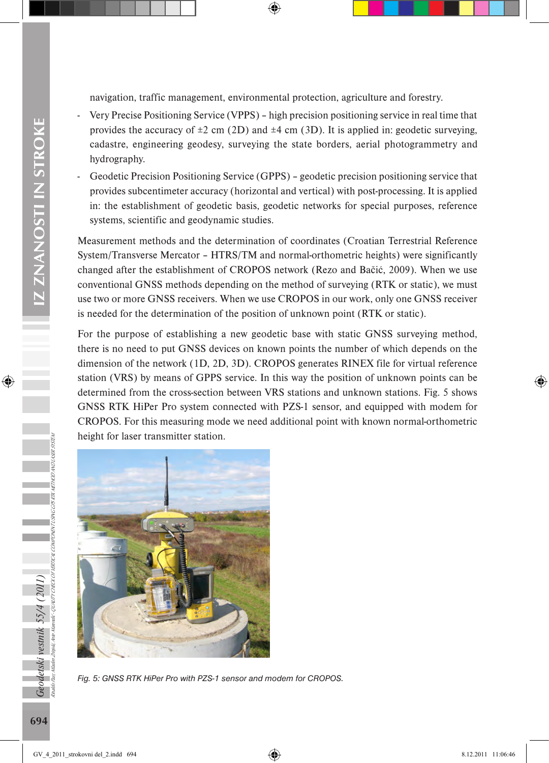navigation, traffic management, environmental protection, agriculture and forestry.

- Very Precise Positioning Service (VPPS) high precision positioning service in real time that provides the accuracy of  $\pm 2$  cm (2D) and  $\pm 4$  cm (3D). It is applied in: geodetic surveying, cadastre, engineering geodesy, surveying the state borders, aerial photogrammetry and hydrography.
- Geodetic Precision Positioning Service (GPPS) geodetic precision positioning service that provides subcentimeter accuracy (horizontal and vertical) with post-processing. It is applied in: the establishment of geodetic basis, geodetic networks for special purposes, reference systems, scientific and geodynamic studies.

Measurement methods and the determination of coordinates (Croatian Terrestrial Reference System/Transverse Mercator – HTRS/TM and normal-orthometric heights) were significantly changed after the establishment of CROPOS network (Rezo and Bačić, 2009). When we use conventional GNSS methods depending on the method of surveying (RTK or static), we must use two or more GNSS receivers. When we use CROPOS in our work, only one GNSS receiver is needed for the determination of the position of unknown point (RTK or static).

For the purpose of establishing a new geodetic base with static GNSS surveying method, there is no need to put GNSS devices on known points the number of which depends on the dimension of the network (1D, 2D, 3D). CROPOS generates RINEX file for virtual reference station (VRS) by means of GPPS service. In this way the position of unknown points can be determined from the cross-section between VRS stations and unknown stations. Fig. 5 shows GNSS RTK HiPer Pro system connected with PZS-1 sensor, and equipped with modem for CROPOS. For this measuring mode we need additional point with known normal-orthometric height for laser transmitter station.



*Fig. 5: GNSS RTK HiPer Pro with PZS-1 sensor and modem for CROPOS.*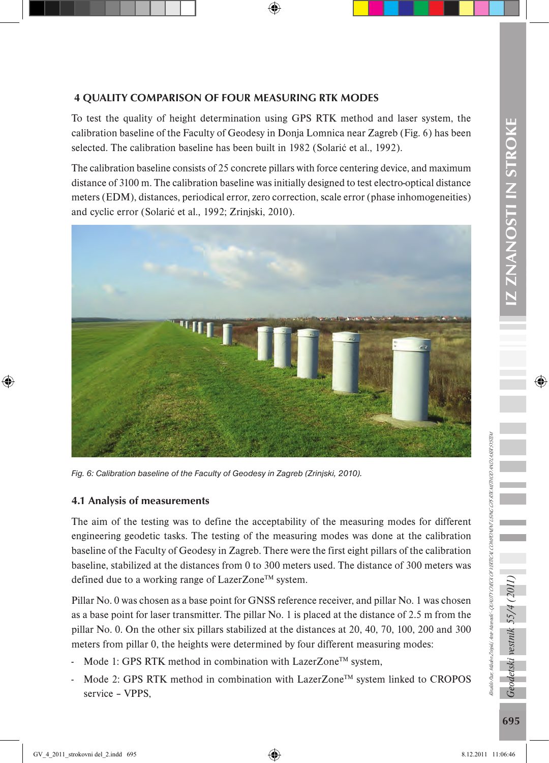## 4 QUALITY COMPARISON OF FOUR MEASURING RTK MODES

To test the quality of height determination using GPS RTK method and laser system, the calibration baseline of the Faculty of Geodesy in Donja Lomnica near Zagreb (Fig. 6) has been selected. The calibration baseline has been built in 1982 (Solarić et al., 1992).

The calibration baseline consists of 25 concrete pillars with force centering device, and maximum distance of 3100 m. The calibration baseline was initially designed to test electro-optical distance meters (EDM), distances, periodical error, zero correction, scale error (phase inhomogeneities) and cyclic error (Solarić et al., 1992; Zrinjski, 2010).



*Fig. 6: Calibration baseline of the Faculty of Geodesy in Zagreb (Zrinjski, 2010).*

### 4.1 Analysis of measurements

The aim of the testing was to define the acceptability of the measuring modes for different engineering geodetic tasks. The testing of the measuring modes was done at the calibration baseline of the Faculty of Geodesy in Zagreb. There were the first eight pillars of the calibration baseline, stabilized at the distances from 0 to 300 meters used. The distance of 300 meters was defined due to a working range of LazerZone™ system.

Pillar No. 0 was chosen as a base point for GNSS reference receiver, and pillar No. 1 was chosen as a base point for laser transmitter. The pillar No. 1 is placed at the distance of 2.5 m from the pillar No. 0. On the other six pillars stabilized at the distances at 20, 40, 70, 100, 200 and 300 meters from pillar 0, the heights were determined by four different measuring modes:

- Mode 1: GPS RTK method in combination with LazerZone™ system,
- Mode 2: GPS RTK method in combination with LazerZone™ system linked to CROPOS service – VPPS,

Rinaldo Paar, Mladen Zrinjski, Ante Marendić - QUALITY CHECK OF VERTICAL COMPONENT USING GPS RTK METHOD AND LASER SYSTEM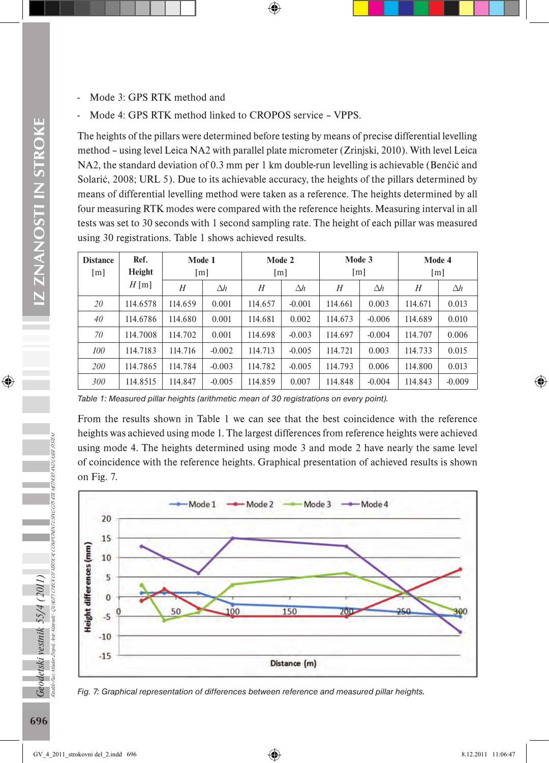- Mode 3: GPS RTK method and
- Mode 4: GPS RTK method linked to CROPOS service VPPS.

The heights of the pillars were determined before testing by means of precise differential levelling method – using level Leica NA2 with parallel plate micrometer (Zrinjski, 2010). With level Leica NA2, the standard deviation of 0.3 mm per 1 km double-run levelling is achievable (Benčić and Solarić, 2008; URL 5). Due to its achievable accuracy, the heights of the pillars determined by means of differential levelling method were taken as a reference. The heights determined by all four measuring RTK modes were compared with the reference heights. Measuring interval in all tests was set to 30 seconds with 1 second sampling rate. The height of each pillar was measured using 30 registrations. Table 1 shows achieved results.

| <b>Distance</b> | Ref.<br>Height | Mode 1  |            | Mode 2            |            | Mode 3  |            | Mode 4  |            |
|-----------------|----------------|---------|------------|-------------------|------------|---------|------------|---------|------------|
| [m]             |                | [m]     |            | $\lceil m \rceil$ |            | [m]     |            | [m]     |            |
|                 | $H$ [m]        | H       | $\Delta h$ | H                 | $\Delta h$ | H       | $\Delta h$ | H       | $\Delta h$ |
| 20              | 114.6578       | 114.659 | 0.001      | 114.657           | $-0.001$   | 114.661 | 0.003      | 114.671 | 0.013      |
| 40              | 114.6786       | 114.680 | 0.001      | 114.681           | 0.002      | 114.673 | $-0.006$   | 114.689 | 0.010      |
| 70              | 114.7008       | 114.702 | 0.001      | 114.698           | $-0.003$   | 114.697 | $-0.004$   | 114.707 | 0.006      |
| 100             | 114.7183       | 114.716 | $-0.002$   | 114.713           | $-0.005$   | 114.721 | 0.003      | 114.733 | 0.015      |
| 200             | 114.7865       | 114.784 | $-0.003$   | 114.782           | $-0.005$   | 114.793 | 0.006      | 114.800 | 0.013      |
| 300             | 114.8515       | 114.847 | $-0.005$   | 114.859           | 0.007      | 114.848 | $-0.004$   | 114.843 | $-0.009$   |

*Table 1: Measured pillar heights (arithmetic mean of 30 registrations on every point).*

From the results shown in Table 1 we can see that the best coincidence with the reference heights was achieved using mode 1. The largest differences from reference heights were achieved using mode 4. The heights determined using mode 3 and mode 2 have nearly the same level of coincidence with the reference heights. Graphical presentation of achieved results is shown on Fig. 7.





Rinaldo Paar, Mladen Zrinjski, Ante Marendić - QUALITY CHECK OF VERTICAL COMPONENT USING GPS RTK METHOD AND LASER SYSTEM

Geodetski vestnik 55/4 (2011)<br><sub>Raiko har Materizaisi me naenik - Quun crecco</sub>

raté - QUALITY CHECK OF VERTICAL COMPONENT USING GPS RTK METHOD AND LASER SYSTEM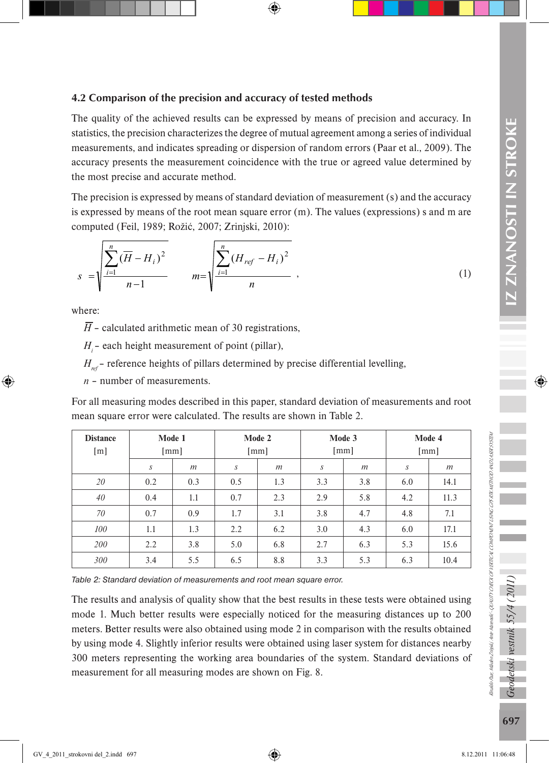### 4.2 Comparison of the precision and accuracy of tested methods

The quality of the achieved results can be expressed by means of precision and accuracy. In statistics, the precision characterizes the degree of mutual agreement among a series of individual measurements, and indicates spreading or dispersion of random errors (Paar et al., 2009). The accuracy presents the measurement coincidence with the true or agreed value determined by the most precise and accurate method.

The precision is expressed by means of standard deviation of measurement (s) and the accuracy is expressed by means of the root mean square error (m). The values (expressions) s and m are computed (Feil, 1989; Rožić, 2007; Zrinjski, 2010):

$$
s = \sqrt{\frac{\sum_{i=1}^{n} (\overline{H} - H_i)^2}{n-1}} \qquad m = \sqrt{\frac{\sum_{i=1}^{n} (H_{ref} - H_i)^2}{n}} \qquad (1)
$$

where:

 $\overline{H}$  – calculated arithmetic mean of 30 registrations,

*H<sub>i</sub>* – each height measurement of point (pillar),

 $H_{ref}$  – reference heights of pillars determined by precise differential levelling,

*n* – number of measurements.

For all measuring modes described in this paper, standard deviation of measurements and root mean square error were calculated. The results are shown in Table 2.

| <b>Distance</b><br>[m] | Mode 1<br>$\lceil mm \rceil$ |     | Mode 2<br>$\lceil mm \rceil$ |     | Mode 3<br>$\lceil$ mm $\rceil$ |     | Mode 4<br>[mm] |      |
|------------------------|------------------------------|-----|------------------------------|-----|--------------------------------|-----|----------------|------|
|                        | $\boldsymbol{S}$             | m   | S                            | m   | S                              | m   | S              | m    |
| 20                     | 0.2                          | 0.3 | 0.5                          | 1.3 | 3.3                            | 3.8 | 6.0            | 14.1 |
| 40                     | 0.4                          | 1.1 | 0.7                          | 2.3 | 2.9                            | 5.8 | 4.2            | 11.3 |
| 70                     | 0.7                          | 0.9 | 1.7                          | 3.1 | 3.8                            | 4.7 | 4.8            | 7.1  |
| 100                    | 1.1                          | 1.3 | 2.2                          | 6.2 | 3.0                            | 4.3 | 6.0            | 17.1 |
| 200                    | 2.2                          | 3.8 | 5.0                          | 6.8 | 2.7                            | 6.3 | 5.3            | 15.6 |
| 300                    | 3.4                          | 5.5 | 6.5                          | 8.8 | 3.3                            | 5.3 | 6.3            | 10.4 |

*Table 2: Standard deviation of measurements and root mean square error.*

The results and analysis of quality show that the best results in these tests were obtained using mode 1. Much better results were especially noticed for the measuring distances up to 200 meters. Better results were also obtained using mode 2 in comparison with the results obtained by using mode 4. Slightly inferior results were obtained using laser system for distances nearby 300 meters representing the working area boundaries of the system. Standard deviations of measurement for all measuring modes are shown on Fig. 8.

Rinaldo Paar, Mladen Zrinjski, Ante Marendić - QUALITY CHECK OF VERTICAL COMPONENT USING GPS RTK METHOD AND LASER SYSTEM

inalo Pau, Maden Zinjski, Ane Mareadić-QUALITY CHECK OF VERTICAL COMPONENT USING GPS RTK METHOD AND USER SYSTEM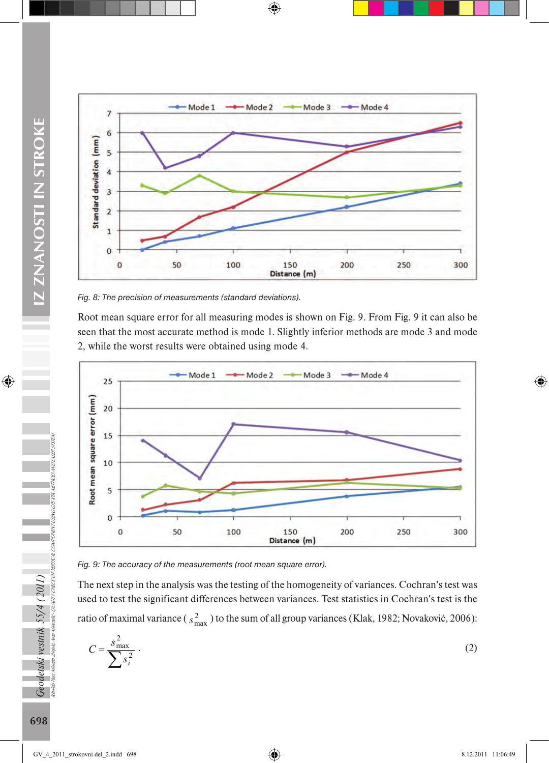

*Fig. 8: The precision of measurements (standard deviations).*

Root mean square error for all measuring modes is shown on Fig. 9. From Fig. 9 it can also be seen that the most accurate method is mode 1. Slightly inferior methods are mode 3 and mode 2, while the worst results were obtained using mode 4.



*Fig. 9: The accuracy of the measurements (root mean square error).*

The next step in the analysis was the testing of the homogeneity of variances. Cochran's test was used to test the significant differences between variances. Test statistics in Cochran's test is the ratio of maximal variance ( $s_{\text{max}}^2$ ) to the sum of all group variances (Klak, 1982; Novaković, 2006):

$$
C = \frac{s_{\text{max}}^2}{\sum s_i^2} \tag{2}
$$

Rinaldo Paar, Mladen Zrinjski, Ante Marendić - QUALITY CHECK OF VERTICAL COMPONENT USING GPS RTK METHOD AND LASER SYSTEM

Geodetski vestnik 55/4 (2011)<br><sub>Rudb Par</sub> na<sub>c</sub>harist nucharak quanteresco

emik': QUALITY CHECK OF VERTICAL COMPONENT USING CPS RTX METHOD AND LASER SYSTEM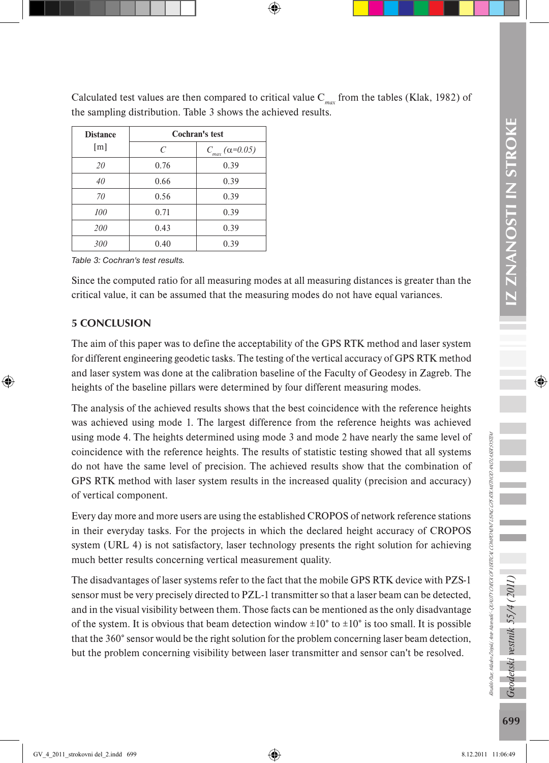Calculated test values are then compared to critical value C*max* from the tables (Klak, 1982) of the sampling distribution. Table 3 shows the achieved results.

| <b>Distance</b> | Cochran's test |                        |  |  |
|-----------------|----------------|------------------------|--|--|
| [m]             | C              | $C_{max}(\alpha=0.05)$ |  |  |
| 20              | 0.76           | 0.39                   |  |  |
| 40              | 0.66           | 0.39                   |  |  |
| 70              | 0.56           | 0.39                   |  |  |
| 100             | 0.71           | 0.39                   |  |  |
| 200             | 0.43           | 0.39                   |  |  |
| 300             | 0.40           | 0.39                   |  |  |

*Table 3: Cochran's test results.*

Since the computed ratio for all measuring modes at all measuring distances is greater than the critical value, it can be assumed that the measuring modes do not have equal variances.

# 5 CONCLUSION

The aim of this paper was to define the acceptability of the GPS RTK method and laser system for different engineering geodetic tasks. The testing of the vertical accuracy of GPS RTK method and laser system was done at the calibration baseline of the Faculty of Geodesy in Zagreb. The heights of the baseline pillars were determined by four different measuring modes.

The analysis of the achieved results shows that the best coincidence with the reference heights was achieved using mode 1. The largest difference from the reference heights was achieved using mode 4. The heights determined using mode 3 and mode 2 have nearly the same level of coincidence with the reference heights. The results of statistic testing showed that all systems do not have the same level of precision. The achieved results show that the combination of GPS RTK method with laser system results in the increased quality (precision and accuracy) of vertical component.

Every day more and more users are using the established CROPOS of network reference stations in their everyday tasks. For the projects in which the declared height accuracy of CROPOS system (URL 4) is not satisfactory, laser technology presents the right solution for achieving much better results concerning vertical measurement quality.

The disadvantages of laser systems refer to the fact that the mobile GPS RTK device with PZS-1 sensor must be very precisely directed to PZL-1 transmitter so that a laser beam can be detected, and in the visual visibility between them. Those facts can be mentioned as the only disadvantage of the system. It is obvious that beam detection window  $\pm 10^{\circ}$  to  $\pm 10^{\circ}$  is too small. It is possible that the 360° sensor would be the right solution for the problem concerning laser beam detection, but the problem concerning visibility between laser transmitter and sensor can't be resolved.

Geodetski vestnik 55/4 (2011)

Rinaldo Paar, Mladen Zrinjski, Ante Marendić - QUALITY CHECK OF VERTICAL COMPONENT USING GPS RTK METHOD AND LASER SYSTEM

Rinado Paas Manden Zinijski, Ante Manendić-QUALITY CHECK OF VERTICAL COMPONENT USING GPS RTK METHOD AND LASER 9197EM